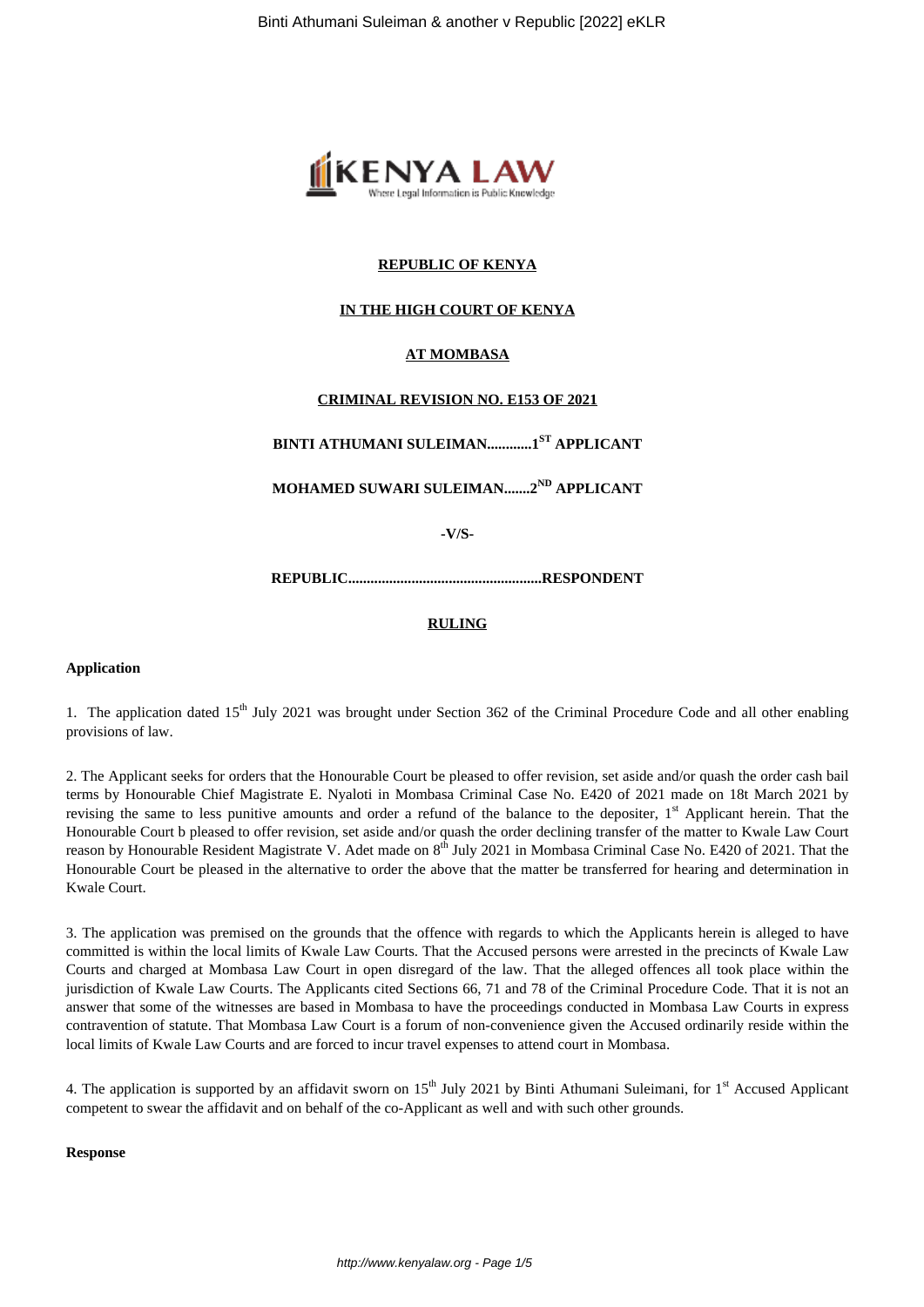

## **REPUBLIC OF KENYA**

## **IN THE HIGH COURT OF KENYA**

## **AT MOMBASA**

## **CRIMINAL REVISION NO. E153 OF 2021**

**BINTI ATHUMANI SULEIMAN............1ST APPLICANT**

**MOHAMED SUWARI SULEIMAN.......2ND APPLICANT**

**-V/S-**

**REPUBLIC....................................................RESPONDENT**

#### **RULING**

#### **Application**

1. The application dated 15<sup>th</sup> July 2021 was brought under Section 362 of the Criminal Procedure Code and all other enabling provisions of law.

2. The Applicant seeks for orders that the Honourable Court be pleased to offer revision, set aside and/or quash the order cash bail terms by Honourable Chief Magistrate E. Nyaloti in Mombasa Criminal Case No. E420 of 2021 made on 18t March 2021 by revising the same to less punitive amounts and order a refund of the balance to the depositer, 1<sup>st</sup> Applicant herein. That the Honourable Court b pleased to offer revision, set aside and/or quash the order declining transfer of the matter to Kwale Law Court reason by Honourable Resident Magistrate V. Adet made on 8<sup>th</sup> July 2021 in Mombasa Criminal Case No. E420 of 2021. That the Honourable Court be pleased in the alternative to order the above that the matter be transferred for hearing and determination in Kwale Court.

3. The application was premised on the grounds that the offence with regards to which the Applicants herein is alleged to have committed is within the local limits of Kwale Law Courts. That the Accused persons were arrested in the precincts of Kwale Law Courts and charged at Mombasa Law Court in open disregard of the law. That the alleged offences all took place within the jurisdiction of Kwale Law Courts. The Applicants cited Sections 66, 71 and 78 of the Criminal Procedure Code. That it is not an answer that some of the witnesses are based in Mombasa to have the proceedings conducted in Mombasa Law Courts in express contravention of statute. That Mombasa Law Court is a forum of non-convenience given the Accused ordinarily reside within the local limits of Kwale Law Courts and are forced to incur travel expenses to attend court in Mombasa.

4. The application is supported by an affidavit sworn on  $15<sup>th</sup>$  July 2021 by Binti Athumani Suleimani, for  $1<sup>st</sup>$  Accused Applicant competent to swear the affidavit and on behalf of the co-Applicant as well and with such other grounds.

#### **Response**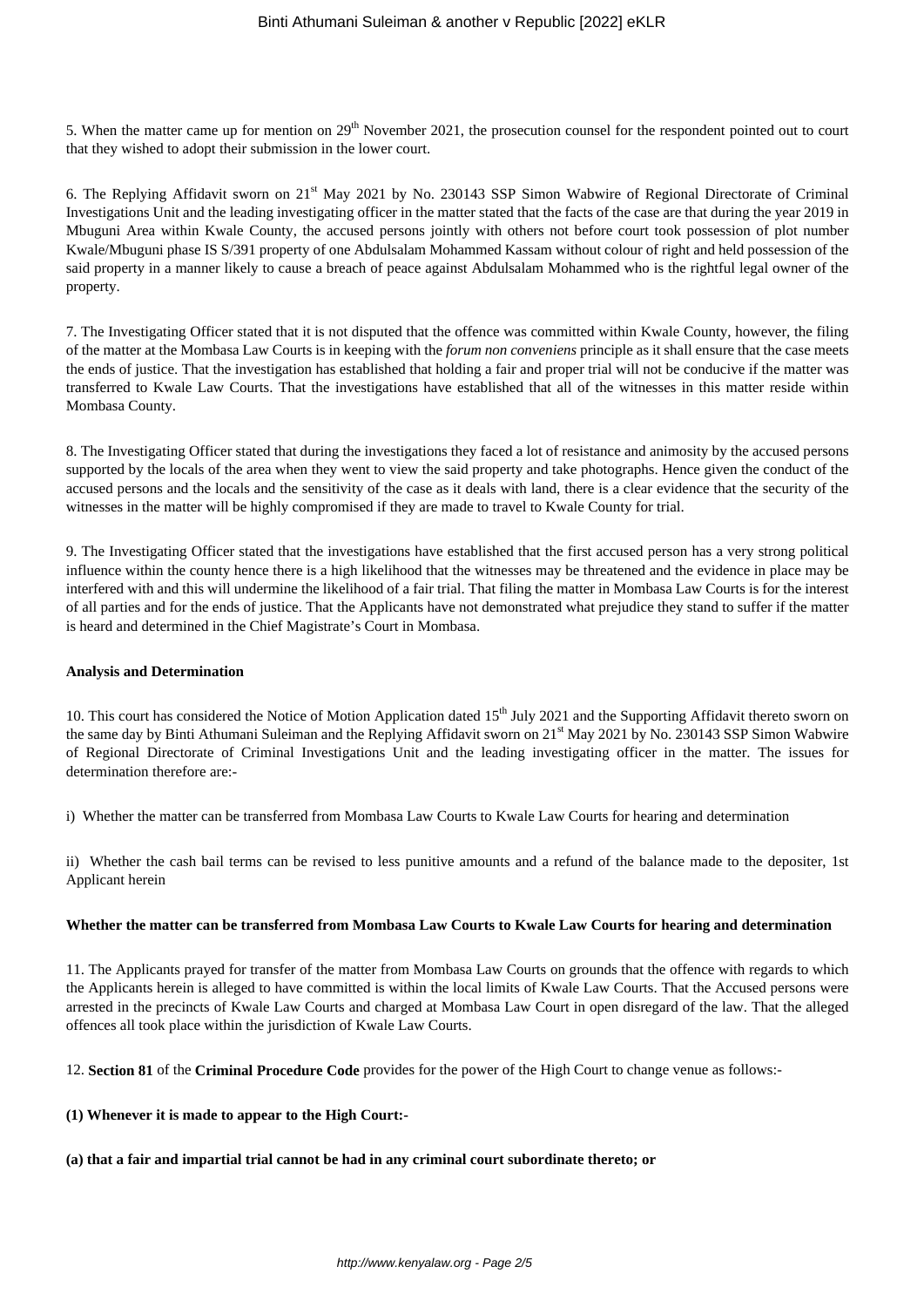5. When the matter came up for mention on 29<sup>th</sup> November 2021, the prosecution counsel for the respondent pointed out to court that they wished to adopt their submission in the lower court.

6. The Replying Affidavit sworn on 21st May 2021 by No. 230143 SSP Simon Wabwire of Regional Directorate of Criminal Investigations Unit and the leading investigating officer in the matter stated that the facts of the case are that during the year 2019 in Mbuguni Area within Kwale County, the accused persons jointly with others not before court took possession of plot number Kwale/Mbuguni phase IS S/391 property of one Abdulsalam Mohammed Kassam without colour of right and held possession of the said property in a manner likely to cause a breach of peace against Abdulsalam Mohammed who is the rightful legal owner of the property.

7. The Investigating Officer stated that it is not disputed that the offence was committed within Kwale County, however, the filing of the matter at the Mombasa Law Courts is in keeping with the *forum non conveniens* principle as it shall ensure that the case meets the ends of justice. That the investigation has established that holding a fair and proper trial will not be conducive if the matter was transferred to Kwale Law Courts. That the investigations have established that all of the witnesses in this matter reside within Mombasa County.

8. The Investigating Officer stated that during the investigations they faced a lot of resistance and animosity by the accused persons supported by the locals of the area when they went to view the said property and take photographs. Hence given the conduct of the accused persons and the locals and the sensitivity of the case as it deals with land, there is a clear evidence that the security of the witnesses in the matter will be highly compromised if they are made to travel to Kwale County for trial.

9. The Investigating Officer stated that the investigations have established that the first accused person has a very strong political influence within the county hence there is a high likelihood that the witnesses may be threatened and the evidence in place may be interfered with and this will undermine the likelihood of a fair trial. That filing the matter in Mombasa Law Courts is for the interest of all parties and for the ends of justice. That the Applicants have not demonstrated what prejudice they stand to suffer if the matter is heard and determined in the Chief Magistrate's Court in Mombasa.

## **Analysis and Determination**

10. This court has considered the Notice of Motion Application dated 15<sup>th</sup> July 2021 and the Supporting Affidavit thereto sworn on the same day by Binti Athumani Suleiman and the Replying Affidavit sworn on 21<sup>st</sup> May 2021 by No. 230143 SSP Simon Wabwire of Regional Directorate of Criminal Investigations Unit and the leading investigating officer in the matter. The issues for determination therefore are:-

i) Whether the matter can be transferred from Mombasa Law Courts to Kwale Law Courts for hearing and determination

ii) Whether the cash bail terms can be revised to less punitive amounts and a refund of the balance made to the depositer, 1st Applicant herein

## **Whether the matter can be transferred from Mombasa Law Courts to Kwale Law Courts for hearing and determination**

11. The Applicants prayed for transfer of the matter from Mombasa Law Courts on grounds that the offence with regards to which the Applicants herein is alleged to have committed is within the local limits of Kwale Law Courts. That the Accused persons were arrested in the precincts of Kwale Law Courts and charged at Mombasa Law Court in open disregard of the law. That the alleged offences all took place within the jurisdiction of Kwale Law Courts.

12. **Section 81** of the **Criminal Procedure Code** provides for the power of the High Court to change venue as follows:-

**(1) Whenever it is made to appear to the High Court:-**

## **(a) that a fair and impartial trial cannot be had in any criminal court subordinate thereto; or**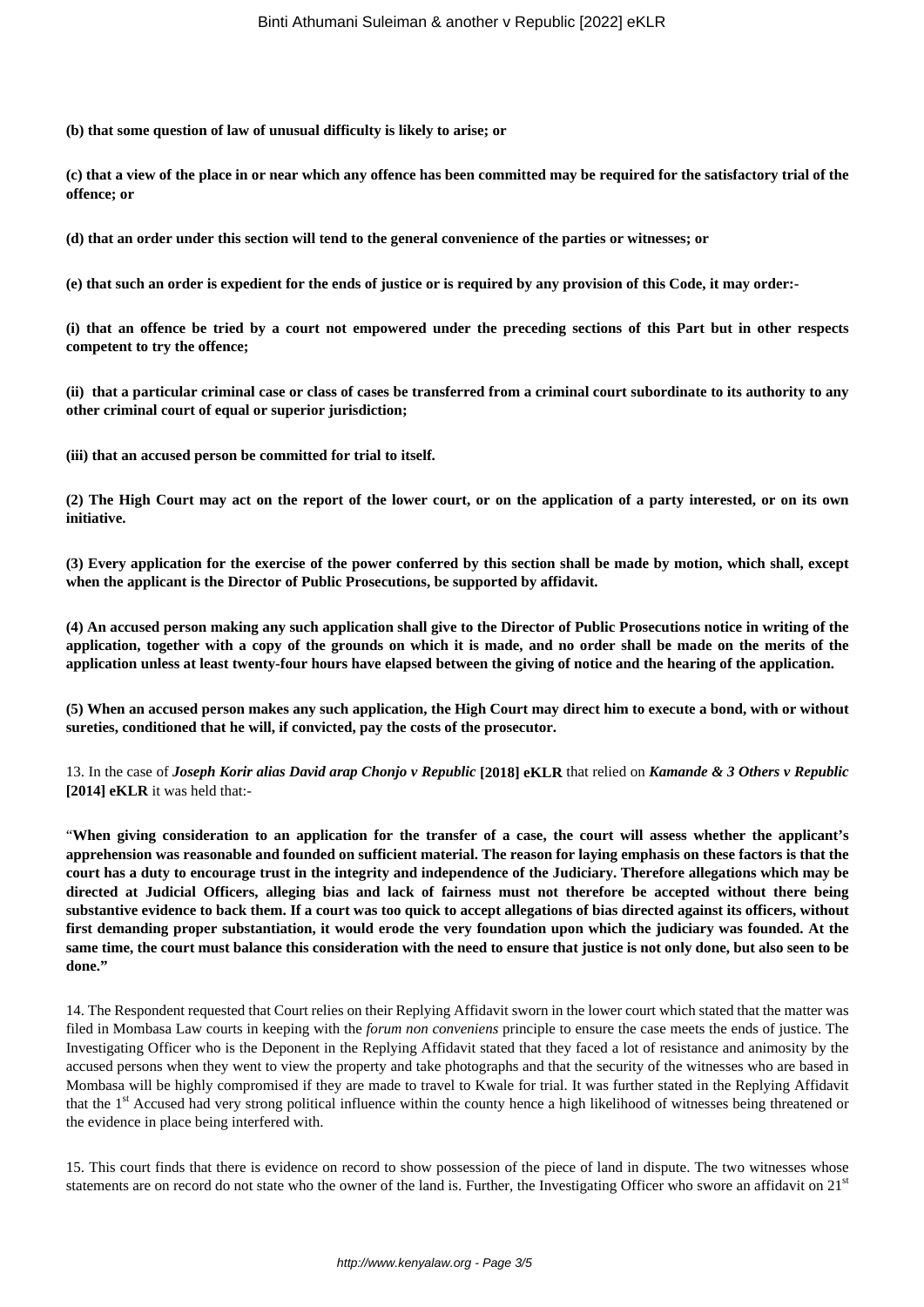**(b) that some question of law of unusual difficulty is likely to arise; or**

**(c) that a view of the place in or near which any offence has been committed may be required for the satisfactory trial of the offence; or**

**(d) that an order under this section will tend to the general convenience of the parties or witnesses; or**

**(e) that such an order is expedient for the ends of justice or is required by any provision of this Code, it may order:-**

**(i) that an offence be tried by a court not empowered under the preceding sections of this Part but in other respects competent to try the offence;**

**(ii) that a particular criminal case or class of cases be transferred from a criminal court subordinate to its authority to any other criminal court of equal or superior jurisdiction;**

**(iii) that an accused person be committed for trial to itself.**

**(2) The High Court may act on the report of the lower court, or on the application of a party interested, or on its own initiative.**

**(3) Every application for the exercise of the power conferred by this section shall be made by motion, which shall, except when the applicant is the Director of Public Prosecutions, be supported by affidavit.**

**(4) An accused person making any such application shall give to the Director of Public Prosecutions notice in writing of the application, together with a copy of the grounds on which it is made, and no order shall be made on the merits of the application unless at least twenty-four hours have elapsed between the giving of notice and the hearing of the application.**

**(5) When an accused person makes any such application, the High Court may direct him to execute a bond, with or without sureties, conditioned that he will, if convicted, pay the costs of the prosecutor.**

13. In the case of *Joseph Korir alias David arap Chonjo v Republic* **[2018] eKLR** that relied on *Kamande & 3 Others v Republic* **[2014] eKLR** it was held that:-

"**When giving consideration to an application for the transfer of a case, the court will assess whether the applicant's apprehension was reasonable and founded on sufficient material. The reason for laying emphasis on these factors is that the court has a duty to encourage trust in the integrity and independence of the Judiciary. Therefore allegations which may be directed at Judicial Officers, alleging bias and lack of fairness must not therefore be accepted without there being substantive evidence to back them. If a court was too quick to accept allegations of bias directed against its officers, without first demanding proper substantiation, it would erode the very foundation upon which the judiciary was founded. At the same time, the court must balance this consideration with the need to ensure that justice is not only done, but also seen to be done."**

14. The Respondent requested that Court relies on their Replying Affidavit sworn in the lower court which stated that the matter was filed in Mombasa Law courts in keeping with the *forum non conveniens* principle to ensure the case meets the ends of justice. The Investigating Officer who is the Deponent in the Replying Affidavit stated that they faced a lot of resistance and animosity by the accused persons when they went to view the property and take photographs and that the security of the witnesses who are based in Mombasa will be highly compromised if they are made to travel to Kwale for trial. It was further stated in the Replying Affidavit that the 1<sup>st</sup> Accused had very strong political influence within the county hence a high likelihood of witnesses being threatened or the evidence in place being interfered with.

15. This court finds that there is evidence on record to show possession of the piece of land in dispute. The two witnesses whose statements are on record do not state who the owner of the land is. Further, the Investigating Officer who swore an affidavit on 21<sup>st</sup>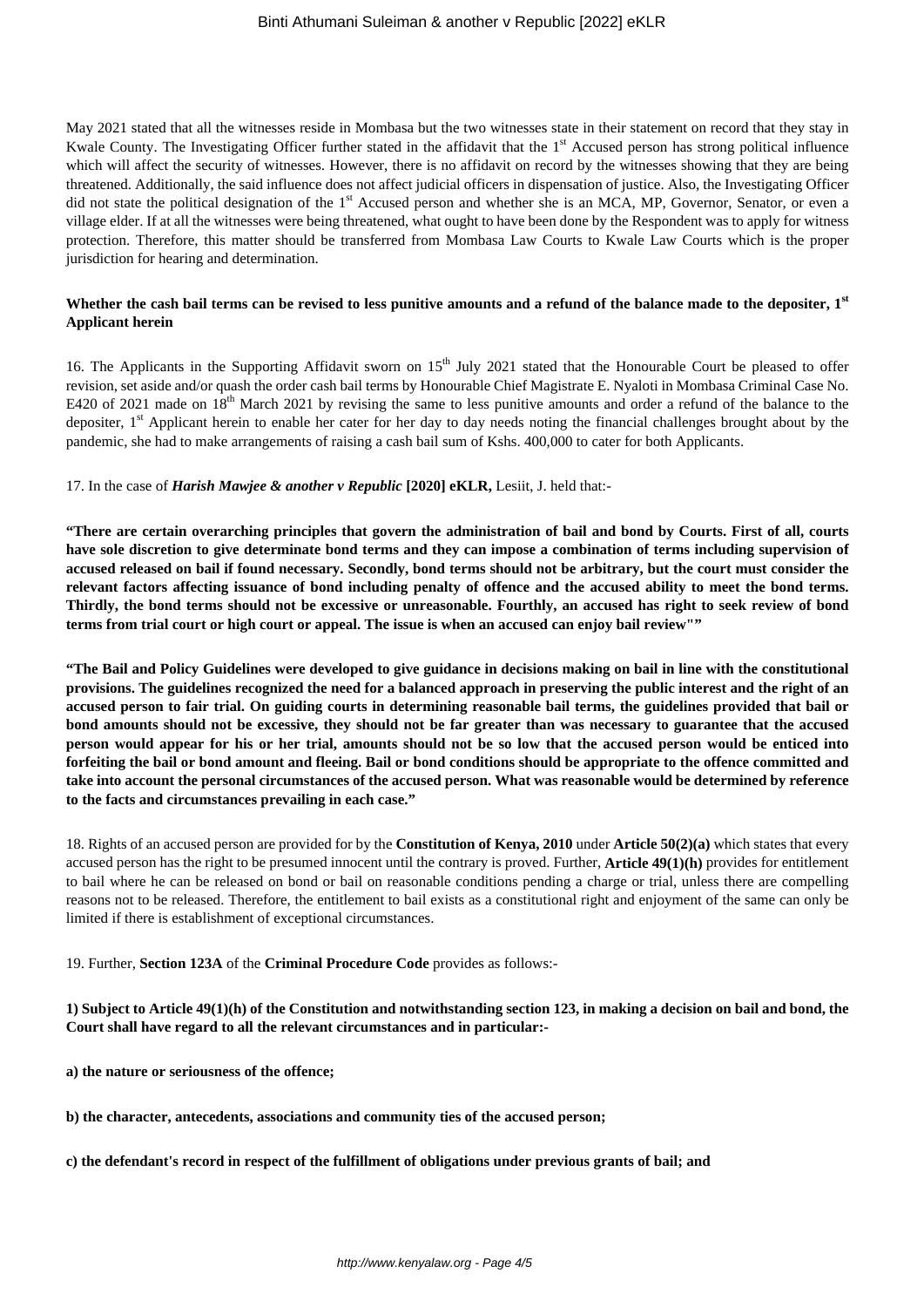May 2021 stated that all the witnesses reside in Mombasa but the two witnesses state in their statement on record that they stay in Kwale County. The Investigating Officer further stated in the affidavit that the  $1<sup>st</sup>$  Accused person has strong political influence which will affect the security of witnesses. However, there is no affidavit on record by the witnesses showing that they are being threatened. Additionally, the said influence does not affect judicial officers in dispensation of justice. Also, the Investigating Officer did not state the political designation of the 1<sup>st</sup> Accused person and whether she is an MCA, MP, Governor, Senator, or even a village elder. If at all the witnesses were being threatened, what ought to have been done by the Respondent was to apply for witness protection. Therefore, this matter should be transferred from Mombasa Law Courts to Kwale Law Courts which is the proper jurisdiction for hearing and determination.

## **Whether the cash bail terms can be revised to less punitive amounts and a refund of the balance made to the depositer, 1st Applicant herein**

16. The Applicants in the Supporting Affidavit sworn on  $15<sup>th</sup>$  July 2021 stated that the Honourable Court be pleased to offer revision, set aside and/or quash the order cash bail terms by Honourable Chief Magistrate E. Nyaloti in Mombasa Criminal Case No. E420 of 2021 made on 18<sup>th</sup> March 2021 by revising the same to less punitive amounts and order a refund of the balance to the depositer.  $1<sup>st</sup>$  Applicant herein to enable her cater for her day to day needs noting the financial challenges brought about by the pandemic, she had to make arrangements of raising a cash bail sum of Kshs. 400,000 to cater for both Applicants.

#### 17. In the case of *Harish Mawjee & another v Republic* **[2020] eKLR,** Lesiit, J. held that:-

**"There are certain overarching principles that govern the administration of bail and bond by Courts. First of all, courts have sole discretion to give determinate bond terms and they can impose a combination of terms including supervision of accused released on bail if found necessary. Secondly, bond terms should not be arbitrary, but the court must consider the relevant factors affecting issuance of bond including penalty of offence and the accused ability to meet the bond terms. Thirdly, the bond terms should not be excessive or unreasonable. Fourthly, an accused has right to seek review of bond terms from trial court or high court or appeal. The issue is when an accused can enjoy bail review""**

**"The Bail and Policy Guidelines were developed to give guidance in decisions making on bail in line with the constitutional provisions. The guidelines recognized the need for a balanced approach in preserving the public interest and the right of an accused person to fair trial. On guiding courts in determining reasonable bail terms, the guidelines provided that bail or bond amounts should not be excessive, they should not be far greater than was necessary to guarantee that the accused person would appear for his or her trial, amounts should not be so low that the accused person would be enticed into forfeiting the bail or bond amount and fleeing. Bail or bond conditions should be appropriate to the offence committed and take into account the personal circumstances of the accused person. What was reasonable would be determined by reference to the facts and circumstances prevailing in each case."**

18. Rights of an accused person are provided for by the **Constitution of Kenya, 2010** under **Article 50(2)(a)** which states that every accused person has the right to be presumed innocent until the contrary is proved. Further, **Article 49(1)(h)** provides for entitlement to bail where he can be released on bond or bail on reasonable conditions pending a charge or trial, unless there are compelling reasons not to be released. Therefore, the entitlement to bail exists as a constitutional right and enjoyment of the same can only be limited if there is establishment of exceptional circumstances.

19. Further, **Section 123A** of the **Criminal Procedure Code** provides as follows:-

## **1) Subject to Article 49(1)(h) of the Constitution and notwithstanding section 123, in making a decision on bail and bond, the Court shall have regard to all the relevant circumstances and in particular:-**

- **a) the nature or seriousness of the offence;**
- **b) the character, antecedents, associations and community ties of the accused person;**
- **c) the defendant's record in respect of the fulfillment of obligations under previous grants of bail; and**